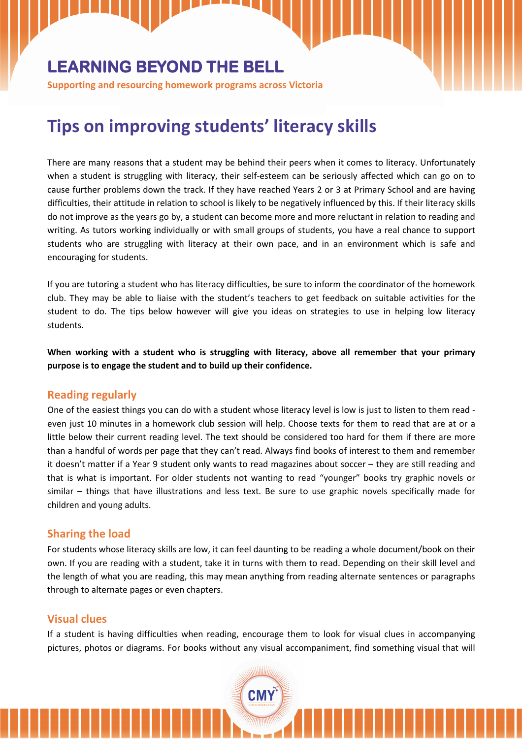# **LEARNING BEYOND THE BELL**

**Supporting and resourcing homework programs across Victoria** 

# **Tips on improving students' literacy skills**

There are many reasons that a student may be behind their peers when it comes to literacy. Unfortunately when a student is struggling with literacy, their self-esteem can be seriously affected which can go on to cause further problems down the track. If they have reached Years 2 or 3 at Primary School and are having difficulties, their attitude in relation to school is likely to be negatively influenced by this. If their literacy skills do not improve as the years go by, a student can become more and more reluctant in relation to reading and writing. As tutors working individually or with small groups of students, you have a real chance to support students who are struggling with literacy at their own pace, and in an environment which is safe and encouraging for students.

If you are tutoring a student who has literacy difficulties, be sure to inform the coordinator of the homework club. They may be able to liaise with the student's teachers to get feedback on suitable activities for the student to do. The tips below however will give you ideas on strategies to use in helping low literacy students.

**When working with a student who is struggling with literacy, above all remember that your primary purpose is to engage the student and to build up their confidence.** 

#### **Reading regularly**

One of the easiest things you can do with a student whose literacy level is low is just to listen to them read even just 10 minutes in a homework club session will help. Choose texts for them to read that are at or a little below their current reading level. The text should be considered too hard for them if there are more than a handful of words per page that they can't read. Always find books of interest to them and remember it doesn't matter if a Year 9 student only wants to read magazines about soccer – they are still reading and that is what is important. For older students not wanting to read "younger" books try graphic novels or similar – things that have illustrations and less text. Be sure to use graphic novels specifically made for children and young adults.

# **Sharing the load**

For students whose literacy skills are low, it can feel daunting to be reading a whole document/book on their own. If you are reading with a student, take it in turns with them to read. Depending on their skill level and the length of what you are reading, this may mean anything from reading alternate sentences or paragraphs through to alternate pages or even chapters.

#### **Visual clues**

If a student is having difficulties when reading, encourage them to look for visual clues in accompanying pictures, photos or diagrams. For books without any visual accompaniment, find something visual that will

CMY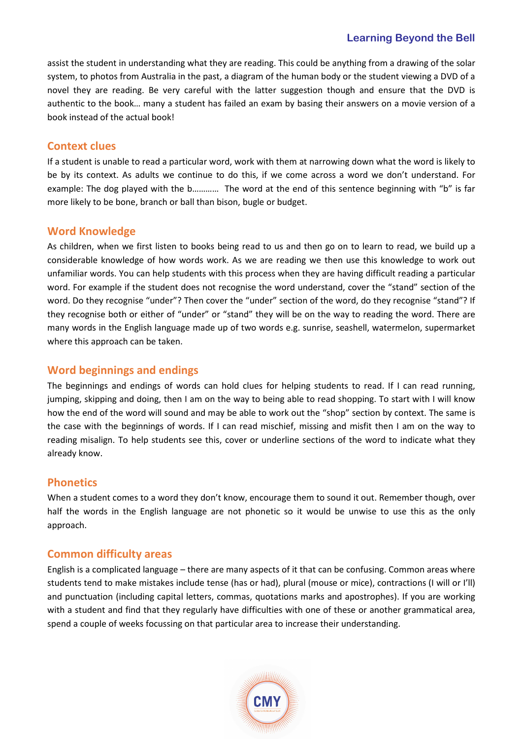assist the student in understanding what they are reading. This could be anything from a drawing of the solar system, to photos from Australia in the past, a diagram of the human body or the student viewing a DVD of a novel they are reading. Be very careful with the latter suggestion though and ensure that the DVD is authentic to the book… many a student has failed an exam by basing their answers on a movie version of a book instead of the actual book!

# **Context clues**

If a student is unable to read a particular word, work with them at narrowing down what the word is likely to be by its context. As adults we continue to do this, if we come across a word we don't understand. For example: The dog played with the b………… The word at the end of this sentence beginning with "b" is far more likely to be bone, branch or ball than bison, bugle or budget.

# **Word Knowledge**

As children, when we first listen to books being read to us and then go on to learn to read, we build up a considerable knowledge of how words work. As we are reading we then use this knowledge to work out unfamiliar words. You can help students with this process when they are having difficult reading a particular word. For example if the student does not recognise the word understand, cover the "stand" section of the word. Do they recognise "under"? Then cover the "under" section of the word, do they recognise "stand"? If they recognise both or either of "under" or "stand" they will be on the way to reading the word. There are many words in the English language made up of two words e.g. sunrise, seashell, watermelon, supermarket where this approach can be taken.

# **Word beginnings and endings**

The beginnings and endings of words can hold clues for helping students to read. If I can read running, jumping, skipping and doing, then I am on the way to being able to read shopping. To start with I will know how the end of the word will sound and may be able to work out the "shop" section by context. The same is the case with the beginnings of words. If I can read mischief, missing and misfit then I am on the way to reading misalign. To help students see this, cover or underline sections of the word to indicate what they already know.

# **Phonetics**

When a student comes to a word they don't know, encourage them to sound it out. Remember though, over half the words in the English language are not phonetic so it would be unwise to use this as the only approach.

# **Common difficulty areas**

English is a complicated language – there are many aspects of it that can be confusing. Common areas where students tend to make mistakes include tense (has or had), plural (mouse or mice), contractions (I will or I'll) and punctuation (including capital letters, commas, quotations marks and apostrophes). If you are working with a student and find that they regularly have difficulties with one of these or another grammatical area, spend a couple of weeks focussing on that particular area to increase their understanding.

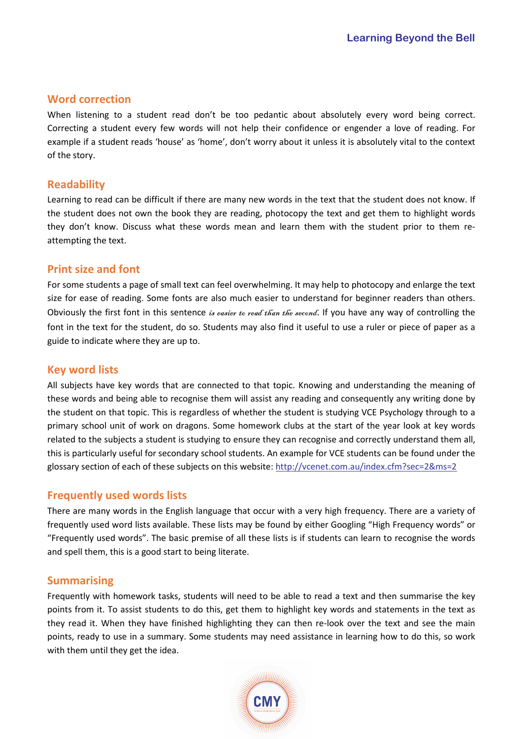#### **Word correction**

When listening to a student read don't be too pedantic about absolutely every word being correct. Correcting a student every few words will not help their confidence or engender a love of reading. For example if a student reads 'house' as 'home', don't worry about it unless it is absolutely vital to the context of the story.

#### **Readability**

Learning to read can be difficult if there are many new words in the text that the student does not know. If the student does not own the book they are reading, photocopy the text and get them to highlight words they don't know. Discuss what these words mean and learn them with the student prior to them reattempting the text.

# **Print size and font**

For some students a page of small text can feel overwhelming. It may help to photocopy and enlarge the text size for ease of reading. Some fonts are also much easier to understand for beginner readers than others. Obviously the first font in this sentence is easier to read than the second. If you have any way of controlling the font in the text for the student, do so. Students may also find it useful to use a ruler or piece of paper as a guide to indicate where they are up to.

#### **Key word lists**

All subjects have key words that are connected to that topic. Knowing and understanding the meaning of these words and being able to recognise them will assist any reading and consequently any writing done by the student on that topic. This is regardless of whether the student is studying VCE Psychology through to a primary school unit of work on dragons. Some homework clubs at the start of the year look at key words related to the subjects a student is studying to ensure they can recognise and correctly understand them all, this is particularly useful for secondary school students. An example for VCE students can be found under the glossary section of each of these subjects on this website: http://vcenet.com.au/index.cfm?sec=2&ms=2

#### **Frequently used words lists**

There are many words in the English language that occur with a very high frequency. There are a variety of frequently used word lists available. These lists may be found by either Googling "High Frequency words" or "Frequently used words". The basic premise of all these lists is if students can learn to recognise the words and spell them, this is a good start to being literate.

#### **Summarising**

Frequently with homework tasks, students will need to be able to read a text and then summarise the key points from it. To assist students to do this, get them to highlight key words and statements in the text as they read it. When they have finished highlighting they can then re-look over the text and see the main points, ready to use in a summary. Some students may need assistance in learning how to do this, so work with them until they get the idea.